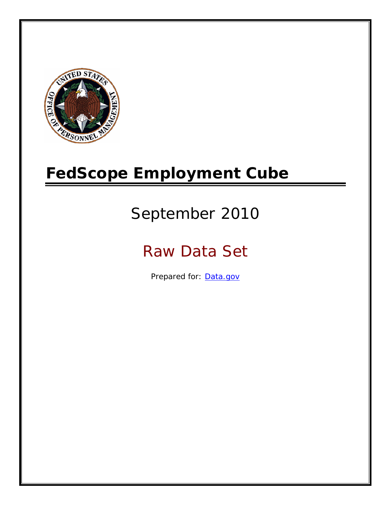

# **FedScope Employment Cube**

# September 2010

# Raw Data Set

Prepared for: [Data.gov](http://www.data.gov/)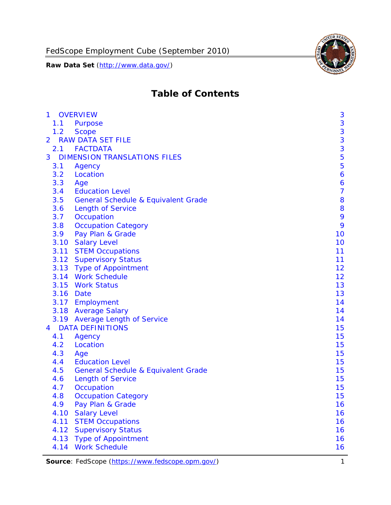

# **Table of Contents**

| $\mathbf{1}$ | <b>OVERVIEW</b>                                | 3              |
|--------------|------------------------------------------------|----------------|
| 1.1          | Purpose                                        | 3              |
| 1.2          | <b>Scope</b>                                   | 3              |
| 2            | <b>RAW DATA SET FILE</b>                       | 3              |
| 2.1          | <b>FACTDATA</b>                                | 3              |
| 3            | <b>DIMENSION TRANSLATIONS FILES</b>            | 5              |
| 3.1          | Agency                                         | 5              |
| 3.2          | Location                                       | 6              |
| 3.3          | Age                                            | 6              |
| 3.4          | <b>Education Level</b>                         | $\overline{7}$ |
| 3.5          | <b>General Schedule &amp; Equivalent Grade</b> | 8              |
| 3.6          | <b>Length of Service</b>                       | 8              |
| 3.7          | Occupation                                     | 9              |
| 3.8          | <b>Occupation Category</b>                     | 9              |
| 3.9          | Pay Plan & Grade                               | 10             |
| 3.10         | <b>Salary Level</b>                            | 10             |
|              | 3.11 STEM Occupations                          | 11             |
|              | 3.12 Supervisory Status                        | 11             |
|              | 3.13 Type of Appointment                       | 12             |
|              | 3.14 Work Schedule                             | 12             |
| 3.15         | <b>Work Status</b>                             | 13             |
|              | 3.16 Date                                      | 13             |
|              | 3.17 Employment                                | 14             |
|              | 3.18 Average Salary                            | 14             |
|              | 3.19 Average Length of Service                 | 14             |
| 4            | <b>DATA DEFINITIONS</b>                        | 15             |
| 4.1          | Agency                                         | 15             |
| 4.2          | Location                                       | 15             |
| 4.3          | Age                                            | 15             |
| 4.4          | <b>Education Level</b>                         | 15             |
| 4.5          | <b>General Schedule &amp; Equivalent Grade</b> | 15             |
| 4.6          | <b>Length of Service</b>                       | 15             |
| 4.7          | Occupation                                     | 15             |
| 4.8          | <b>Occupation Category</b>                     | 15             |
| 4.9          | Pay Plan & Grade                               | 16             |
| 4.10         | <b>Salary Level</b>                            | 16             |
| 4.11         | <b>STEM Occupations</b>                        | 16             |
| 4.12         | <b>Supervisory Status</b>                      | 16             |
| 4.13         | <b>Type of Appointment</b>                     | 16             |
| 4.14         | <b>Work Schedule</b>                           | 16             |

Source: FedScope (https://www.fedscope.opm.gov/) 1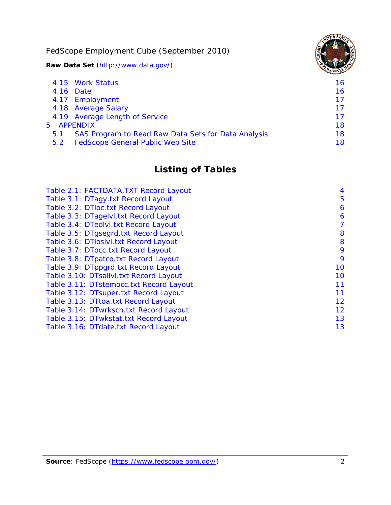FedScope Employment Cube (September 2010)

**Raw Data Set** (http://www.data.gov/)

|               | 4.15 Work Status                                    | 16 |
|---------------|-----------------------------------------------------|----|
|               | 4.16 Date                                           | 16 |
|               | 4.17 Employment                                     | 17 |
|               | 4.18 Average Salary                                 | 17 |
|               | 4.19 Average Length of Service                      | 17 |
|               | 5 APPENDIX                                          | 18 |
| 5.1           | SAS Program to Read Raw Data Sets for Data Analysis | 18 |
| $5.2^{\circ}$ | <b>FedScope General Public Web Site</b>             | 18 |

# **Listing of Tables**

| Table 2.1: FACTDATA.TXT Record Layout   | 4  |
|-----------------------------------------|----|
| Table 3.1: DTagy.txt Record Layout      | 5  |
| Table 3.2: DTloc.txt Record Layout      | 6  |
| Table 3.3: DTagelvl.txt Record Layout   | 6  |
| Table 3.4: DTedlvl.txt Record Layout    | 7  |
| Table 3.5: DTgsegrd.txt Record Layout   | 8  |
| Table 3.6: DTIoslyl.txt Record Layout   | 8  |
| Table 3.7: DTocc.txt Record Layout      | 9  |
| Table 3.8: DTpatco.txt Record Layout    | 9  |
| Table 3.9: DTppgrd.txt Record Layout    | 10 |
| Table 3.10: DTsallvl.txt Record Layout  | 10 |
| Table 3.11: DTstemocc.txt Record Layout | 11 |
| Table 3.12: DTsuper.txt Record Layout   | 11 |
| Table 3.13: DTtoa.txt Record Layout     | 12 |
| Table 3.14: DTwrksch.txt Record Layout  | 12 |
| Table 3.15: DTwkstat.txt Record Layout  | 13 |
| Table 3.16: DTdate.txt Record Layout    | 13 |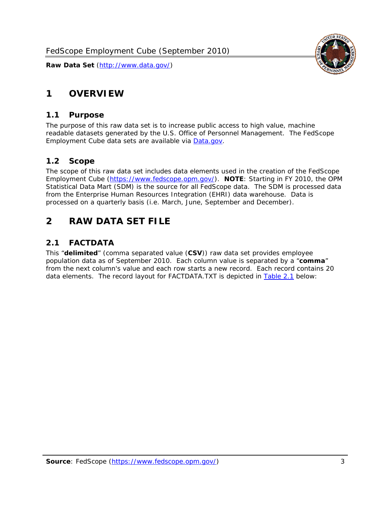# <span id="page-3-0"></span>**1 OVERVIEW**

#### *1.1 Purpose*

<span id="page-3-1"></span>The purpose of this raw data set is to increase public access to high value, machine readable datasets generated by the U.S. Office of Personnel Management. The FedScope Employment Cube data sets are available via [Data.gov](http://www.data.gov/).

## <span id="page-3-2"></span>*1.2 Scope*

The scope of this raw data set includes data elements used in the creation of the FedScope Employment Cube [\(https://www.fedscope.opm.gov/\)](https://www.fedscope.opm.gov/). **NOTE**: Starting in FY 2010, the OPM Statistical Data Mart (SDM) is the source for all FedScope data. The SDM is processed data from the Enterprise Human Resources Integration (EHRI) data warehouse. Data is processed on a quarterly basis (i.e. March, June, September and December).

# <span id="page-3-3"></span>**2 RAW DATA SET FILE**

## <span id="page-3-4"></span>*2.1 FACTDATA*

This "**delimited**" (comma separated value (**CSV**)) raw data set provides employee population data as of September 2010. Each column value is separated by a "**comma**" from the next column's value and each row starts a new record. Each record contains 20 data elements. The record layout for FACTDATA.TXT is depicted in [Table 2.1](#page-4-1) below:

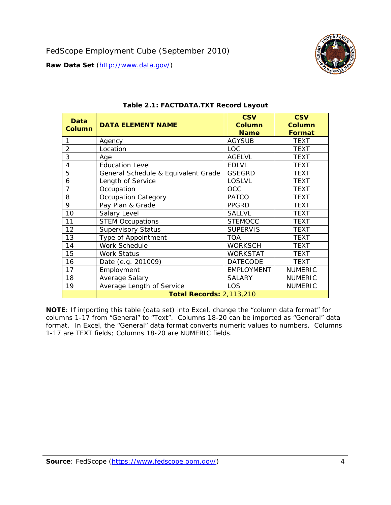<span id="page-4-1"></span><span id="page-4-0"></span>

**NOTE**: If importing this table (data set) into Excel, change the "column data format" for columns 1-17 from "General" to "Text". Columns 18-20 can be imported as "General" data format. In Excel, the "General" data format converts numeric values to numbers. Columns 1-17 are TEXT fields; Columns 18-20 are NUMERIC fields.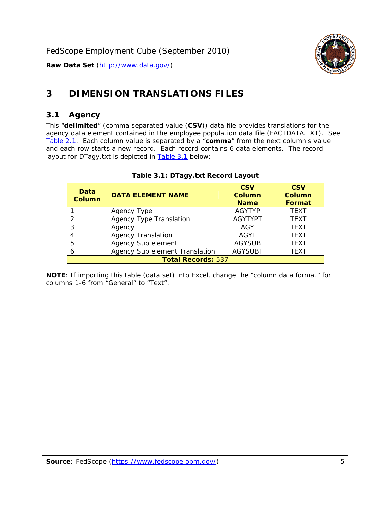

# <span id="page-5-0"></span>**3 DIMENSION TRANSLATIONS FILES**

#### <span id="page-5-1"></span>*3.1 Agency*

<span id="page-5-3"></span><span id="page-5-2"></span>This "**delimited**" (comma separated value (**CSV**)) data file provides translations for the agency data element contained in the employee population data file (FACTDATA.TXT). See [Table 2.1.](#page-4-1) Each column value is separated by a "**comma**" from the next column's value and each row starts a new record. Each record contains 6 data elements. The record layout for DTagy.txt is depicted in [Table 3.1](#page-5-3) below:

| Data<br>Column            | <b>DATA ELEMENT NAME</b>       | <b>CSV</b><br><b>Column</b><br><b>Name</b> | <b>CSV</b><br>Column<br><b>Format</b> |  |
|---------------------------|--------------------------------|--------------------------------------------|---------------------------------------|--|
|                           | Agency Type                    | <b>AGYTYP</b>                              | <b>TEXT</b>                           |  |
|                           | <b>Agency Type Translation</b> | <b>AGYTYPT</b>                             | <b>TEXT</b>                           |  |
| 3                         | Agency                         | AGY                                        | <b>TEXT</b>                           |  |
|                           | <b>Agency Translation</b>      | AGYT                                       | <b>TEXT</b>                           |  |
| -5                        | Agency Sub element             | <b>AGYSUB</b>                              | <b>TEXT</b>                           |  |
|                           | Agency Sub element Translation | <b>AGYSUBT</b>                             | <b>TEXT</b>                           |  |
| <b>Total Records: 537</b> |                                |                                            |                                       |  |

#### **Table 3.1: DTagy.txt Record Layout**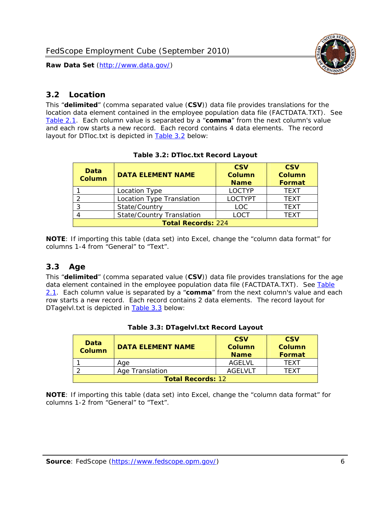

#### <span id="page-6-0"></span>*3.2 Location*

<span id="page-6-4"></span><span id="page-6-2"></span>This "**delimited**" (comma separated value (**CSV**)) data file provides translations for the location data element contained in the employee population data file (FACTDATA.TXT). See [Table 2.1.](#page-4-1) Each column value is separated by a "**comma**" from the next column's value and each row starts a new record. Each record contains 4 data elements. The record layout for DTloc.txt is depicted in [Table 3.2](#page-6-4) below:

| Data<br><b>Column</b>     | <b>DATA ELEMENT NAME</b>         | <b>CSV</b><br>Column<br><b>Name</b> | <b>CSV</b><br><b>Column</b><br><b>Format</b> |  |
|---------------------------|----------------------------------|-------------------------------------|----------------------------------------------|--|
|                           | Location Type                    | <b>LOCTYP</b>                       | <b>TEXT</b>                                  |  |
|                           | Location Type Translation        | <b>LOCTYPT</b>                      | <b>TFXT</b>                                  |  |
| ⌒                         | State/Country                    | LOC.                                | <b>TEXT</b>                                  |  |
|                           | <b>State/Country Translation</b> | LOCT                                | <b>TFXT</b>                                  |  |
| <b>Total Records: 224</b> |                                  |                                     |                                              |  |

#### **Table 3.2: DTloc.txt Record Layout**

**NOTE**: If importing this table (data set) into Excel, change the "column data format" for columns 1-4 from "General" to "Text".

#### <span id="page-6-1"></span>*3.3 Age*

<span id="page-6-5"></span><span id="page-6-3"></span>This "**delimited**" (comma separated value (**CSV**)) data file provides translations for the age data element contained in the employee population data file (FACTDATA.TXT). See [Table](#page-4-1) [2.1](#page-4-1). Each column value is separated by a "**comma**" from the next column's value and each row starts a new record. Each record contains 2 data elements. The record layout for DTagelvl.txt is depicted in [Table 3.3](#page-6-5) below:

| Data<br><b>Column</b>    | <b>DATA ELEMENT NAME</b> | <b>CSV</b><br>Column<br><b>Name</b> | <b>CSV</b><br>Column<br><b>Format</b> |  |
|--------------------------|--------------------------|-------------------------------------|---------------------------------------|--|
|                          | Aae                      | AGELVL                              | TFXT                                  |  |
|                          | Age Translation          | AGFI VI T                           | TFXT                                  |  |
| <b>Total Records: 12</b> |                          |                                     |                                       |  |

|  |  | Table 3.3: DTagelvl.txt Record Layout |  |
|--|--|---------------------------------------|--|
|  |  |                                       |  |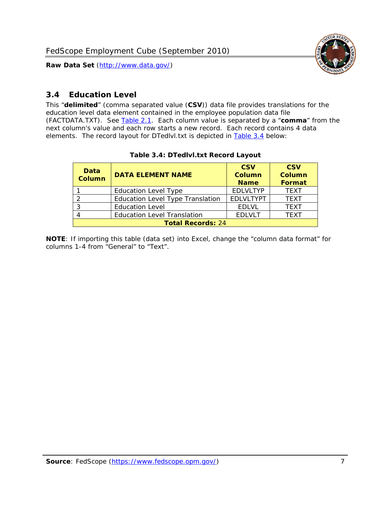

### <span id="page-7-0"></span>*3.4 Education Level*

<span id="page-7-2"></span><span id="page-7-1"></span>This "**delimited**" (comma separated value (**CSV**)) data file provides translations for the education level data element contained in the employee population data file (FACTDATA.TXT). See [Table 2.1](#page-4-1). Each column value is separated by a "**comma**" from the next column's value and each row starts a new record. Each record contains 4 data elements. The record layout for DTedlvl.txt is depicted in [Table 3.4](#page-7-2) below:

| Data<br><b>Column</b>    | <b>DATA ELEMENT NAME</b>           | <b>CSV</b><br><b>Column</b><br><b>Name</b> | <b>CSV</b><br><b>Column</b><br><b>Format</b> |  |  |
|--------------------------|------------------------------------|--------------------------------------------|----------------------------------------------|--|--|
|                          | <b>Education Level Type</b>        | <b>EDLVLTYP</b>                            | <b>TEXT</b>                                  |  |  |
|                          | Education Level Type Translation   | <b>EDLVLTYPT</b>                           | <b>TEXT</b>                                  |  |  |
|                          | <b>Education Level</b>             | <b>EDLVL</b>                               | <b>TEXT</b>                                  |  |  |
|                          | <b>Education Level Translation</b> | <b>EDLVLT</b>                              | <b>TEXT</b>                                  |  |  |
| <b>Total Records: 24</b> |                                    |                                            |                                              |  |  |

#### **Table 3.4: DTedlvl.txt Record Layout**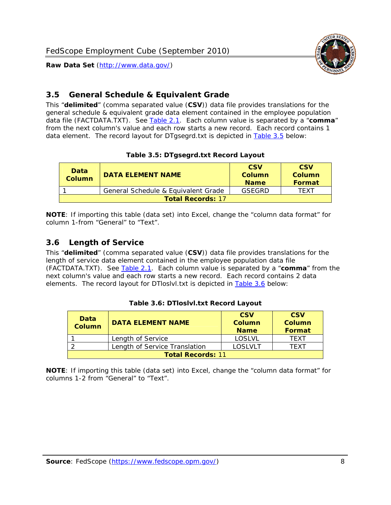

<span id="page-8-0"></span>

This "**delimited**" (comma separated value (**CSV**)) data file provides translations for the general schedule & equivalent grade data element contained in the employee population data file (FACTDATA.TXT). See [Table 2.1](#page-4-1). Each column value is separated by a "**comma**" from the next column's value and each row starts a new record. Each record contains 1 data element. The record layout for DTgsegrd.txt is depicted in [Table 3.5](#page-8-4) below:

#### **Table 3.5: DTgsegrd.txt Record Layout**

<span id="page-8-4"></span><span id="page-8-2"></span>

| Data<br>Column | <b>DATA ELEMENT NAME</b>            |        | <b>CSV</b><br>Column<br><b>Format</b> |  |  |  |
|----------------|-------------------------------------|--------|---------------------------------------|--|--|--|
|                | General Schedule & Equivalent Grade | GSFGRD | <b>TFXT</b>                           |  |  |  |
|                | <b>Total Records: 17</b>            |        |                                       |  |  |  |

**NOTE**: If importing this table (data set) into Excel, change the "column data format" for column 1-from "General" to "Text".

#### <span id="page-8-1"></span>*3.6 Length of Service*

<span id="page-8-5"></span><span id="page-8-3"></span>This "**delimited**" (comma separated value (**CSV**)) data file provides translations for the length of service data element contained in the employee population data file (FACTDATA.TXT). See [Table 2.1](#page-4-1). Each column value is separated by a "**comma**" from the next column's value and each row starts a new record. Each record contains 2 data elements. The record layout for DTloslvl.txt is depicted in [Table 3.6](#page-8-5) below:

| Data<br><b>Column</b>    | <b>DATA ELEMENT NAME</b>      | <b>CSV</b><br><b>Column</b><br><b>Name</b> | <b>CSV</b><br>Column<br>Format |  |  |
|--------------------------|-------------------------------|--------------------------------------------|--------------------------------|--|--|
|                          | Length of Service             | LOSLVL                                     | TFXT                           |  |  |
|                          | Length of Service Translation | LOSI VLT                                   | TFXT                           |  |  |
| <b>Total Records: 11</b> |                               |                                            |                                |  |  |

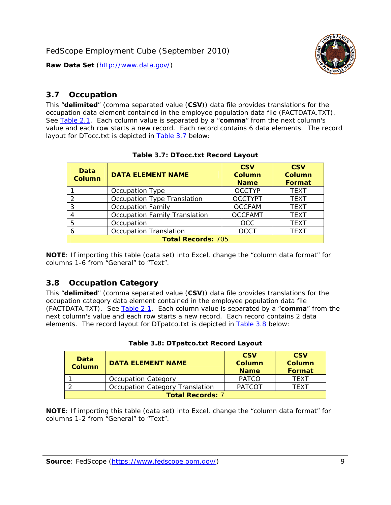

#### <span id="page-9-0"></span>*3.7 Occupation*

<span id="page-9-4"></span>This "**delimited**" (comma separated value (**CSV**)) data file provides translations for the occupation data element contained in the employee population data file (FACTDATA.TXT). See [Table 2.1](#page-4-1). Each column value is separated by a "**comma**" from the next column's value and each row starts a new record. Each record contains 6 data elements. The record layout for DTocc.txt is depicted in [Table 3.7](#page-9-4) below:

<span id="page-9-2"></span>

| Data<br><b>Column</b>     | <b>DATA ELEMENT NAME</b>             | <b>CSV</b><br>Column<br><b>Name</b> | <b>CSV</b><br>Column<br><b>Format</b> |  |  |
|---------------------------|--------------------------------------|-------------------------------------|---------------------------------------|--|--|
|                           | Occupation Type                      | <b>OCCTYP</b>                       | <b>TEXT</b>                           |  |  |
|                           | Occupation Type Translation          | <b>OCCTYPT</b>                      | <b>TEXT</b>                           |  |  |
| 2                         | <b>Occupation Family</b>             | <b>OCCFAM</b>                       | <b>TEXT</b>                           |  |  |
|                           | <b>Occupation Family Translation</b> | <b>OCCFAMT</b>                      | <b>TEXT</b>                           |  |  |
| 5                         | Occupation                           | <b>OCC</b>                          | <b>TEXT</b>                           |  |  |
|                           | <b>Occupation Translation</b>        | <b>OCCT</b>                         | <b>TEXT</b>                           |  |  |
| <b>Total Records: 705</b> |                                      |                                     |                                       |  |  |

#### **Table 3.7: DTocc.txt Record Layout**

**NOTE**: If importing this table (data set) into Excel, change the "column data format" for columns 1-6 from "General" to "Text".

#### <span id="page-9-1"></span>*3.8 Occupation Category*

<span id="page-9-5"></span>This "**delimited**" (comma separated value (**CSV**)) data file provides translations for the occupation category data element contained in the employee population data file (FACTDATA.TXT). See [Table 2.1](#page-4-1). Each column value is separated by a "**comma**" from the next column's value and each row starts a new record. Each record contains 2 data elements. The record layout for DTpatco.txt is depicted in [Table 3.8](#page-9-5) below:

<span id="page-9-3"></span>

| Data<br><b>Column</b>   | <b>DATA ELEMENT NAME</b>        | <b>CSV</b><br>Column<br><b>Name</b> | <b>CSV</b><br>Column<br>Format |  |
|-------------------------|---------------------------------|-------------------------------------|--------------------------------|--|
|                         | <b>Occupation Category</b>      | <b>PATCO</b>                        | <b>TFXT</b>                    |  |
|                         | Occupation Category Translation | <b>PATCOT</b>                       | TFXT                           |  |
| <b>Total Records: 7</b> |                                 |                                     |                                |  |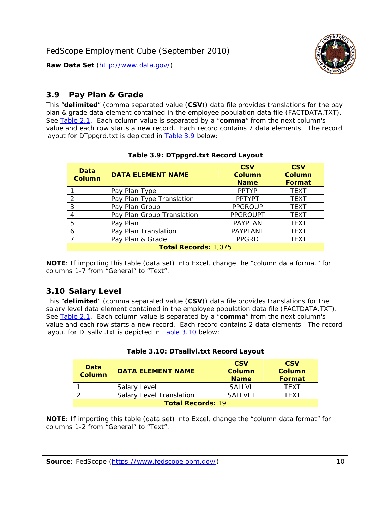

### <span id="page-10-0"></span>*3.9 Pay Plan & Grade*

<span id="page-10-4"></span>This "**delimited**" (comma separated value (**CSV**)) data file provides translations for the pay plan & grade data element contained in the employee population data file (FACTDATA.TXT). See [Table 2.1](#page-4-1). Each column value is separated by a "**comma**" from the next column's value and each row starts a new record. Each record contains 7 data elements. The record layout for DTppgrd.txt is depicted in **Table 3.9** below:

<span id="page-10-2"></span>

| Data<br>Column              | <b>DATA ELEMENT NAME</b>   | <b>CSV</b><br>Column<br><b>Name</b> | <b>CSV</b><br>Column<br><b>Format</b> |  |
|-----------------------------|----------------------------|-------------------------------------|---------------------------------------|--|
|                             | Pay Plan Type              | <b>PPTYP</b>                        | <b>TEXT</b>                           |  |
| $\mathcal{P}$               | Pay Plan Type Translation  | <b>PPTYPT</b>                       | <b>TEXT</b>                           |  |
| 3                           | Pay Plan Group             | <b>PPGROUP</b>                      | <b>TEXT</b>                           |  |
|                             | Pay Plan Group Translation | <b>PPGROUPT</b>                     | <b>TEXT</b>                           |  |
| 5                           | Pay Plan                   | <b>PAYPLAN</b>                      | <b>TEXT</b>                           |  |
| 6                           | Pay Plan Translation       | PAYPLANT                            | <b>TEXT</b>                           |  |
|                             | Pay Plan & Grade           | <b>PPGRD</b>                        | <b>TEXT</b>                           |  |
| <b>Total Records: 1,075</b> |                            |                                     |                                       |  |

#### **Table 3.9: DTppgrd.txt Record Layout**

**NOTE**: If importing this table (data set) into Excel, change the "column data format" for columns 1-7 from "General" to "Text".

## <span id="page-10-1"></span>*3.10 Salary Level*

<span id="page-10-5"></span><span id="page-10-3"></span>This "**delimited**" (comma separated value (**CSV**)) data file provides translations for the salary level data element contained in the employee population data file (FACTDATA.TXT). See [Table 2.1](#page-4-1). Each column value is separated by a "**comma**" from the next column's value and each row starts a new record. Each record contains 2 data elements. The record layout for DTsallvl.txt is depicted in [Table 3.10](#page-10-5) below:

| <b>Data</b><br>Column                                 | <b>DATA ELEMENT NAME</b> | <b>CSV</b><br>Column<br><b>Name</b> | <b>CSV</b><br>Column<br><b>Format</b> |  |  |
|-------------------------------------------------------|--------------------------|-------------------------------------|---------------------------------------|--|--|
| <b>SALLVL</b><br>Salary Level<br>TFXT                 |                          |                                     |                                       |  |  |
| <b>Salary Level Translation</b><br>SAI I VI T<br>TEXT |                          |                                     |                                       |  |  |
| <b>Total Records: 19</b>                              |                          |                                     |                                       |  |  |

| Table 3.10: DTsallvl.txt Record Layout |
|----------------------------------------|
|----------------------------------------|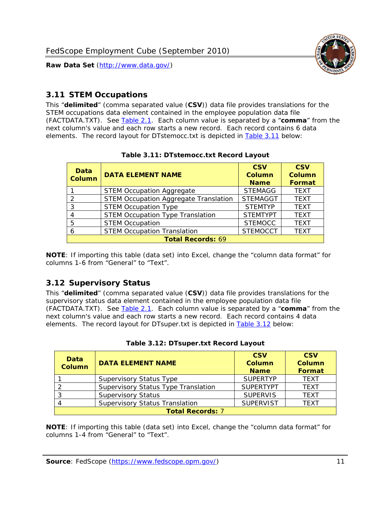

#### <span id="page-11-0"></span>*3.11 STEM Occupations*

<span id="page-11-4"></span>This "**delimited**" (comma separated value (**CSV**)) data file provides translations for the STEM occupations data element contained in the employee population data file (FACTDATA.TXT). See [Table 2.1](#page-4-1). Each column value is separated by a "**comma**" from the next column's value and each row starts a new record. Each record contains 6 data elements. The record layout for DTstemocc.txt is depicted in [Table 3.11](#page-11-4) below:

<span id="page-11-2"></span>

| <b>Data</b><br><b>Column</b> | <b>DATA ELEMENT NAME</b>                     | <b>CSV</b><br><b>Column</b><br><b>Name</b> | <b>CSV</b><br><b>Column</b><br>Format |  |
|------------------------------|----------------------------------------------|--------------------------------------------|---------------------------------------|--|
|                              | <b>STEM Occupation Aggregate</b>             | <b>STEMAGG</b>                             | <b>TEXT</b>                           |  |
|                              | <b>STEM Occupation Aggregate Translation</b> | <b>STEMAGGT</b>                            | <b>TEXT</b>                           |  |
| 3                            | <b>STEM Occupation Type</b>                  | <b>STEMTYP</b>                             | <b>TFXT</b>                           |  |
|                              | <b>STEM Occupation Type Translation</b>      | <b>STEMTYPT</b>                            | <b>TEXT</b>                           |  |
| 5                            | <b>STEM Occupation</b>                       | <b>STEMOCC</b>                             | <b>TEXT</b>                           |  |
|                              | <b>STEM Occupation Translation</b>           | <b>STEMOCCT</b>                            | <b>TEXT</b>                           |  |
| <b>Total Records: 69</b>     |                                              |                                            |                                       |  |

#### **Table 3.11: DTstemocc.txt Record Layout**

**NOTE**: If importing this table (data set) into Excel, change the "column data format" for columns 1-6 from "General" to "Text".

# <span id="page-11-1"></span>*3.12 Supervisory Status*

This "**delimited**" (comma separated value (**CSV**)) data file provides translations for the supervisory status data element contained in the employee population data file (FACTDATA.TXT). See [Table 2.1](#page-4-1). Each column value is separated by a "**comma**" from the next column's value and each row starts a new record. Each record contains 4 data elements. The record layout for DTsuper.txt is depicted in [Table 3.12](#page-11-5) below:

<span id="page-11-5"></span><span id="page-11-3"></span>

| Data<br><b>Column</b>   | <b>DATA ELEMENT NAME</b>              | <b>CSV</b><br><b>Column</b><br><b>Name</b> | <b>CSV</b><br><b>Column</b><br><b>Format</b> |  |
|-------------------------|---------------------------------------|--------------------------------------------|----------------------------------------------|--|
|                         | <b>Supervisory Status Type</b>        | <b>SUPERTYP</b>                            | <b>TEXT</b>                                  |  |
|                         | Supervisory Status Type Translation   | <b>SUPERTYPT</b>                           | <b>TEXT</b>                                  |  |
|                         | <b>Supervisory Status</b>             | <b>SUPERVIS</b>                            | <b>TEXT</b>                                  |  |
|                         | <b>Supervisory Status Translation</b> | <b>SUPERVIST</b>                           | <b>TEXT</b>                                  |  |
| <b>Total Records: 7</b> |                                       |                                            |                                              |  |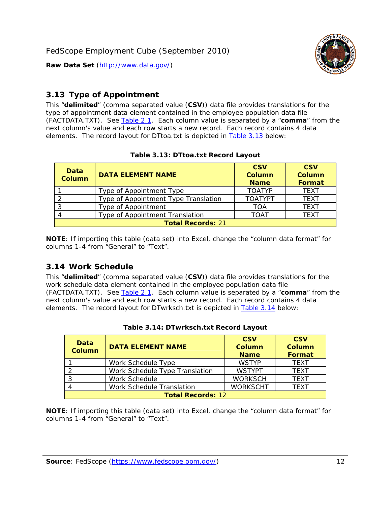

### <span id="page-12-0"></span>*3.13 Type of Appointment*

This "**delimited**" (comma separated value (**CSV**)) data file provides translations for the type of appointment data element contained in the employee population data file (FACTDATA.TXT). See [Table 2.1](#page-4-1). Each column value is separated by a "**comma**" from the next column's value and each row starts a new record. Each record contains 4 data elements. The record layout for DTtoa.txt is depicted in [Table 3.13](#page-12-4) below:

<span id="page-12-4"></span><span id="page-12-2"></span>

| Data<br><b>DATA ELEMENT NAME</b><br><b>Column</b> |                                      | <b>CSV</b><br><b>Column</b><br><b>Name</b> | <b>CSV</b><br><b>Column</b><br><b>Format</b> |  |
|---------------------------------------------------|--------------------------------------|--------------------------------------------|----------------------------------------------|--|
|                                                   | Type of Appointment Type             | <b>TOATYP</b>                              | <b>TFXT</b>                                  |  |
|                                                   | Type of Appointment Type Translation | <b>TOATYPT</b>                             | <b>TEXT</b>                                  |  |
|                                                   | Type of Appointment                  | <b>TOA</b>                                 | <b>TEXT</b>                                  |  |
|                                                   | Type of Appointment Translation      | <b>TOAT</b>                                | <b>TFXT</b>                                  |  |
| <b>Total Records: 21</b>                          |                                      |                                            |                                              |  |

#### **Table 3.13: DTtoa.txt Record Layout**

**NOTE**: If importing this table (data set) into Excel, change the "column data format" for columns 1-4 from "General" to "Text".

#### <span id="page-12-1"></span>*3.14 Work Schedule*

<span id="page-12-5"></span>This "**delimited**" (comma separated value (**CSV**)) data file provides translations for the work schedule data element contained in the employee population data file (FACTDATA.TXT). See [Table 2.1](#page-4-1). Each column value is separated by a "**comma**" from the next column's value and each row starts a new record. Each record contains 4 data elements. The record layout for DTwrksch.txt is depicted in [Table 3.14](#page-12-5) below:

<span id="page-12-3"></span>

| Data<br>Column           | <b>CSV</b><br><b>CSV</b><br><b>DATA ELEMENT NAME</b><br><b>Column</b><br>Column<br>Format<br><b>Name</b> |                 |             |  |  |
|--------------------------|----------------------------------------------------------------------------------------------------------|-----------------|-------------|--|--|
|                          | Work Schedule Type                                                                                       | <b>WSTYP</b>    | <b>TEXT</b> |  |  |
| 2                        | Work Schedule Type Translation                                                                           | <b>WSTYPT</b>   | <b>TFXT</b> |  |  |
| 3                        | Work Schedule                                                                                            | <b>WORKSCH</b>  | <b>TFXT</b> |  |  |
|                          | Work Schedule Translation                                                                                | <b>WORKSCHT</b> | <b>TFXT</b> |  |  |
| <b>Total Records: 12</b> |                                                                                                          |                 |             |  |  |

|  | Table 3.14: DTwrksch.txt Record Layout |  |  |
|--|----------------------------------------|--|--|
|  |                                        |  |  |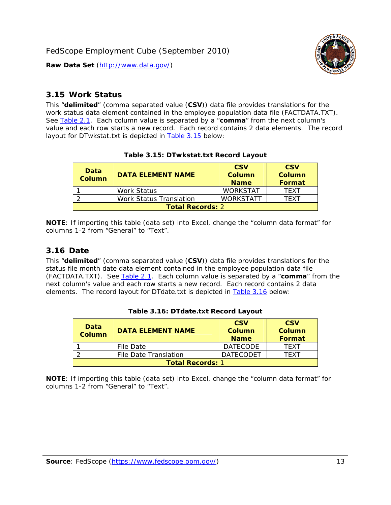

#### <span id="page-13-0"></span>*3.15 Work Status*

<span id="page-13-4"></span><span id="page-13-2"></span>This "**delimited**" (comma separated value (**CSV**)) data file provides translations for the work status data element contained in the employee population data file (FACTDATA.TXT). See [Table 2.1](#page-4-1). Each column value is separated by a "**comma**" from the next column's value and each row starts a new record. Each record contains 2 data elements. The record layout for DTwkstat.txt is depicted in [Table 3.15](#page-13-4) below:

| Data<br><b>Column</b>   | <b>CSV</b><br><b>DATA ELEMENT NAME</b><br><b>Column</b><br><b>Name</b> |                 |      |  |  |
|-------------------------|------------------------------------------------------------------------|-----------------|------|--|--|
|                         | Work Status                                                            | <b>WORKSTAT</b> | TFXT |  |  |
|                         | <b>WORKSTATT</b><br><b>Work Status Translation</b><br>TFXT             |                 |      |  |  |
| <b>Total Records: 2</b> |                                                                        |                 |      |  |  |

#### **Table 3.15: DTwkstat.txt Record Layout**

**NOTE**: If importing this table (data set) into Excel, change the "column data format" for columns 1-2 from "General" to "Text".

#### <span id="page-13-1"></span>*3.16 Date*

<span id="page-13-5"></span><span id="page-13-3"></span>This "**delimited**" (comma separated value (**CSV**)) data file provides translations for the status file month date data element contained in the employee population data file (FACTDATA.TXT). See [Table 2.1](#page-4-1). Each column value is separated by a "**comma**" from the next column's value and each row starts a new record. Each record contains 2 data elements. The record layout for DTdate.txt is depicted in [Table 3.16](#page-13-5) below:

| Data<br><b>Column</b>   | <b>DATA ELEMENT NAME</b> | <b>CSV</b><br><b>Column</b><br><b>Name</b> | <b>CSV</b><br>Column<br>Format |
|-------------------------|--------------------------|--------------------------------------------|--------------------------------|
|                         | File Date                | <b>DATECODE</b>                            | TFXT                           |
|                         | File Date Translation    | <b>DATECODET</b>                           | TFXT                           |
| <b>Total Records: 1</b> |                          |                                            |                                |

**Table 3.16: DTdate.txt Record Layout**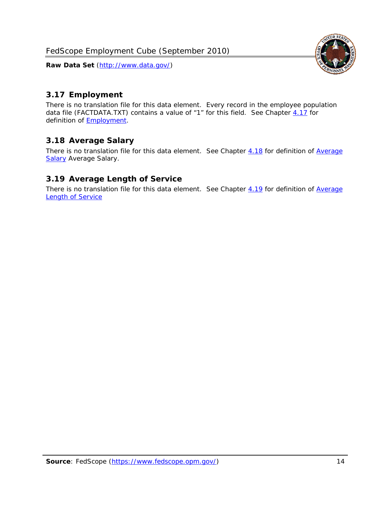

## <span id="page-14-0"></span>*3.17 Employment*

There is no translation file for this data element. Every record in the employee population data file (FACTDATA.TXT) contains a value of "1" for this field. See Chapter [4.17](#page-16-8) for definition of **Employment**.

## <span id="page-14-1"></span>*3.18 Average Salary*

There is no translation file for this data element. See Chapter [4.18](#page-17-1) for definition of [Average](#page-17-1) **[Salary](#page-17-1) [Average Salary.](#page-17-1)** 

#### <span id="page-14-2"></span>*3.19 Average Length of Service*

There is no translation file for this data element. See Chapter [4.19](#page-17-2) for definition of [Average](#page-17-2) Length of Service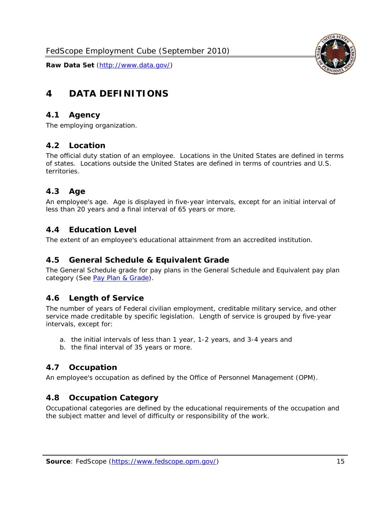

# <span id="page-15-0"></span>**4 DATA DEFINITIONS**

#### <span id="page-15-1"></span>*4.1 Agency*

The employing organization.

#### <span id="page-15-2"></span>*4.2 Location*

The official duty station of an employee. Locations in the United States are defined in terms of states. Locations outside the United States are defined in terms of countries and U.S. territories.

#### <span id="page-15-3"></span>*4.3 Age*

An employee's age. Age is displayed in five-year intervals, except for an initial interval of less than 20 years and a final interval of 65 years or more.

#### <span id="page-15-4"></span>*4.4 Education Level*

The extent of an employee's educational attainment from an accredited institution.

#### <span id="page-15-5"></span>*4.5 General Schedule & Equivalent Grade*

The General Schedule grade for pay plans in the General Schedule and Equivalent pay plan category (See [Pay Plan & Grade](#page-16-0)).

#### <span id="page-15-6"></span>*4.6 Length of Service*

The number of years of Federal civilian employment, creditable military service, and other service made creditable by specific legislation. Length of service is grouped by five-year intervals, except for:

- a. the initial intervals of less than 1 year, 1-2 years, and 3-4 years and
- b. the final interval of 35 years or more.

#### <span id="page-15-7"></span>*4.7 Occupation*

An employee's occupation as defined by the Office of Personnel Management (OPM).

#### <span id="page-15-8"></span>*4.8 Occupation Category*

Occupational categories are defined by the educational requirements of the occupation and the subject matter and level of difficulty or responsibility of the work.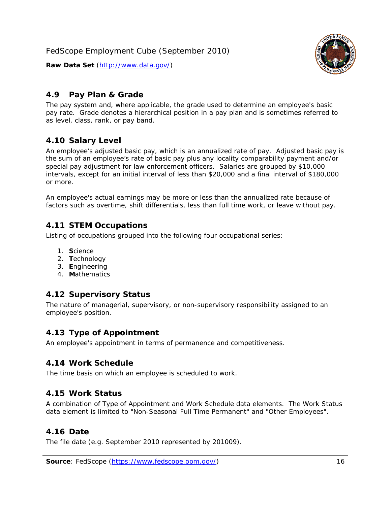<span id="page-16-0"></span>

The pay system and, where applicable, the grade used to determine an employee's basic pay rate. Grade denotes a hierarchical position in a pay plan and is sometimes referred to as level, class, rank, or pay band.

## <span id="page-16-1"></span>*4.10 Salary Level*

An employee's adjusted basic pay, which is an annualized rate of pay. Adjusted basic pay is the sum of an employee's rate of basic pay plus any locality comparability payment and/or special pay adjustment for law enforcement officers. Salaries are grouped by \$10,000 intervals, except for an initial interval of less than \$20,000 and a final interval of \$180,000 or more.

An employee's actual earnings may be more or less than the annualized rate because of factors such as overtime, shift differentials, less than full time work, or leave without pay.

## <span id="page-16-2"></span>*4.11 STEM Occupations*

Listing of occupations grouped into the following four occupational series:

- 1. **S**cience
- 2. **T**echnology
- 3. **E**ngineering
- 4. **M**athematics

#### <span id="page-16-3"></span>*4.12 Supervisory Status*

The nature of managerial, supervisory, or non-supervisory responsibility assigned to an employee's position.

#### <span id="page-16-4"></span>*4.13 Type of Appointment*

An employee's appointment in terms of permanence and competitiveness.

#### <span id="page-16-5"></span>*4.14 Work Schedule*

The time basis on which an employee is scheduled to work.

#### <span id="page-16-6"></span>*4.15 Work Status*

A combination of Type of Appointment and Work Schedule data elements. The Work Status data element is limited to "Non-Seasonal Full Time Permanent" and "Other Employees".

#### <span id="page-16-7"></span>*4.16 Date*

<span id="page-16-8"></span>The file date (e.g. September 2010 represented by 201009).

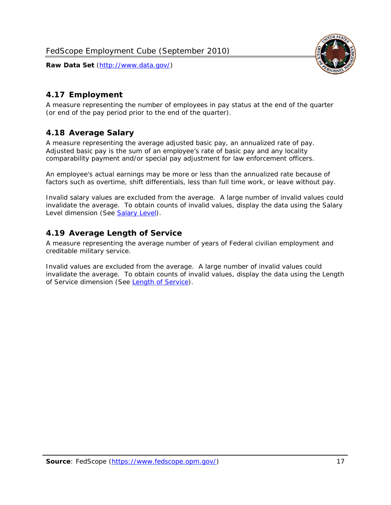

### <span id="page-17-0"></span>*4.17 Employment*

A measure representing the number of employees in pay status at the end of the quarter (or end of the pay period prior to the end of the quarter).

#### <span id="page-17-1"></span>*4.18 Average Salary*

A measure representing the average adjusted basic pay, an annualized rate of pay. Adjusted basic pay is the sum of an employee's rate of basic pay and any locality comparability payment and/or special pay adjustment for law enforcement officers.

An employee's actual earnings may be more or less than the annualized rate because of factors such as overtime, shift differentials, less than full time work, or leave without pay.

Invalid salary values are excluded from the average. A large number of invalid values could invalidate the average. To obtain counts of invalid values, display the data using the Salary Level dimension (See [Salary Level\)](#page-16-1).

#### <span id="page-17-2"></span>*4.19 Average Length of Service*

A measure representing the average number of years of Federal civilian employment and creditable military service.

Invalid values are excluded from the average. A large number of invalid values could invalidate the average. To obtain counts of invalid values, display the data using the Length of Service dimension (See [Length of Service](#page-15-6)).